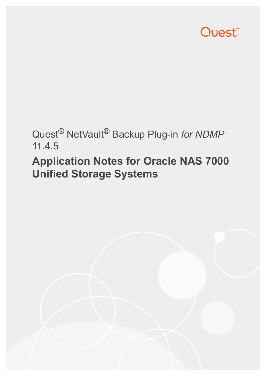

## Quest® NetVault® Backup Plug-in *for NDMP* 11.4.5

# **Application Notes for Oracle NAS 7000 Unified Storage Systems**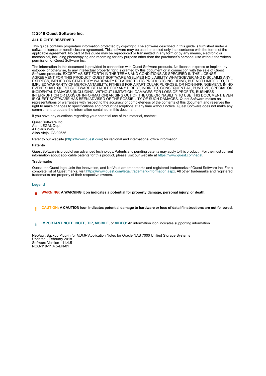#### **© 2018 Quest Software Inc.**

#### **ALL RIGHTS RESERVED.**

This guide contains proprietary information protected by copyright. The software described in this guide is furnished under a software license or nondisclosure agreement. This software may be used or copied only in accordance with the terms of the applicable agreement. No part of this guide may be reproduced or transmitted in any form or by any means, electronic or mechanical, including photocopying and recording for any purpose other than the purchaser's personal use without the written permission of Quest Software Inc.

The information in this document is provided in connection with Quest Software products. No license, express or implied, by estoppel or otherwise, to any intellectual property right is granted by this document or in connection with the sale of Quest<br>Software products. EXCEPT AS SET FORTH IN THE TERMS AND CONDITIONS AS SPECIFIED IN THE LICENSE<br>A EXPRESS, IMPLIED OR STATUTORY WARRANTY RELATING TO ITS PRODUCTS INCLUDING, BUT NOT LIMITED TO, THE IMPLIED WARRANTY OF MERCHANTABILITY, FITNESS FOR A PARTICULAR PURPOSE, OR NON-INFRINGEMENT. IN NO EVENT SHALL QUEST SOFTWARE BE LIABLE FOR ANY DIRECT, INDIRECT, CONSEQUENTIAL, PUNITIVE, SPECIAL OR INCIDENTAL DAMAGES (INCLUDING, WITHOUT LIMITATION, DAMAGES FOR LOSS OF PROFITS, BUSINESS<br>INTERRUPTION OR LOSS OF INFORMATION) ARISING OUT OF THE USE OR INABILITY TO USE THIS DOCUMENT, EVEN IF QUEST SOFTWARE HAS BEEN ADVISED OF THE POSSIBILITY OF SUCH DAMAGES. Quest Software makes no representations or warranties with respect to the accuracy or completeness of the contents of this document and reserves the right to make changes to specifications and product descriptions at any time without notice. Quest Software does not make any commitment to update the information contained in this document.

If you have any questions regarding your potential use of this material, contact:

Quest Software Inc. Attn: LEGAL Dept. 4 Polaris Way Aliso Viejo, CA 92656

Refer to our website [\(https://www.quest.com](https://www.quest.com)) for regional and international office information.

#### **Patents**

Quest Software is proud of our advanced technology. Patents and pending patents may apply to this product. For the most current information about applicable patents for this product, please visit our website at [https://www.quest.com/legal.](https://www.quest.com/legal)

#### **Trademarks**

Quest, the Quest logo, Join the Innovation, and NetVault are trademarks and registered trademarks of Quest Software Inc. For a complete list of Quest marks, visit [https://www.quest.com/legal/trademark-information.aspx.](https://www.quest.com/legal/trademark-information.aspx) All other trademarks and registered trademarks are property of their respective owners.

#### **Legend**

- **WARNING: A WARNING icon indicates a potential for property damage, personal injury, or death.**
- **CAUTION: A CAUTION icon indicates potential damage to hardware or loss of data if instructions are not followed.** Ţ
- **IMPORTANT NOTE**, **NOTE**, **TIP**, **MOBILE**, or **VIDEO:** An information icon indicates supporting information.f.

NetVault Backup Plug-in *for NDMP* Application Notes for Oracle NAS 7000 Unified Storage Systems Updated - February 2018 Software Version - 11.4.5 NCG-119-11.4.5-EN-01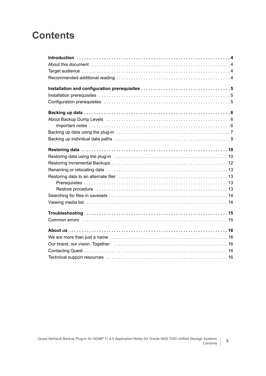### **Contents**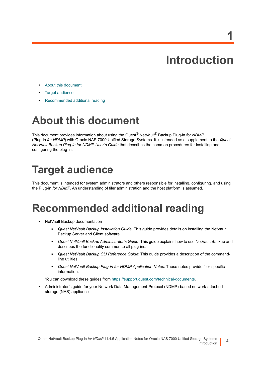**1**

**4**

- <span id="page-3-0"></span>**•** [About this document](#page-3-1)
- **•** [Target audience](#page-3-2)
- **•** [Recommended additional reading](#page-3-3)

## <span id="page-3-1"></span>**About this document**

This document provides information about using the Quest® NetVault® Backup Plug-in *for NDMP* (Plug-in *for NDMP*) with Oracle NAS 7000 Unified Storage Systems. It is intended as a supplement to the *Quest NetVault Backup Plug-in for NDMP User's Guide* that describes the common procedures for installing and configuring the plug-in.

## <span id="page-3-2"></span>**Target audience**

This document is intended for system administrators and others responsible for installing, configuring, and using the Plug-in *for NDMP*. An understanding of filer administration and the host platform is assumed.

### <span id="page-3-3"></span>**Recommended additional reading**

- **•** NetVault Backup documentation
	- **▪** *Quest NetVault Backup Installation Guide*: This guide provides details on installing the NetVault Backup Server and Client software.
	- **▪** *Quest NetVault Backup Administrator's Guide*: This guide explains how to use NetVault Backup and describes the functionality common to all plug-ins.
	- **▪** *Quest NetVault Backup CLI Reference Guide*: This guide provides a description of the commandline utilities.
	- **▪** *Quest NetVault Backup Plug-in for NDMP Application Notes:* These notes provide filer-specific information.

You can download these guides from<https://support.quest.com/technical-documents>.

**•** Administrator's guide for your Network Data Management Protocol (NDMP)-based network-attached storage (NAS) appliance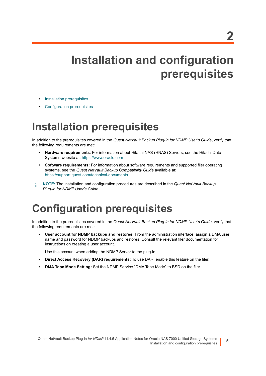# <span id="page-4-0"></span>**Installation and configuration prerequisites**

- **•** [Installation prerequisites](#page-4-1)
- **•** [Configuration prerequisites](#page-4-2)

### <span id="page-4-1"></span>**Installation prerequisites**

In addition to the prerequisites covered in the *Quest NetVault Backup Plug-in for NDMP User's Guide*, verify that the following requirements are met:

- **Hardware requirements**: For information about Hitachi NAS (HNAS) Servers, see the Hitachi Data Systems website at:<https://www.oracle.com>
- **Software requirements:** For information about software requirements and supported filer operating systems, see the *Quest NetVault Backup Compatibility Guide* available at: <https://support.quest.com/technical-documents>
- **NOTE:** The installation and configuration procedures are described in the *Quest NetVault Backup*  f. *Plug-in for NDMP User's Guide.*

## <span id="page-4-2"></span>**Configuration prerequisites**

In addition to the prerequisites covered in the *Quest NetVault Backup Plug-in for NDMP User's Guide*, verify that the following requirements are met:

**• User account for NDMP backups and restores:** From the administration interface, assign a DMA user name and password for NDMP backups and restores. Consult the relevant filer documentation for instructions on creating a user account.

Use this account when adding the NDMP Server to the plug-in.

- **Direct Access Recovery (DAR) requirements:** To use DAR, enable this feature on the filer.
- **DMA Tape Mode Setting:** Set the NDMP Service "DMA Tape Mode" to BSD on the filer.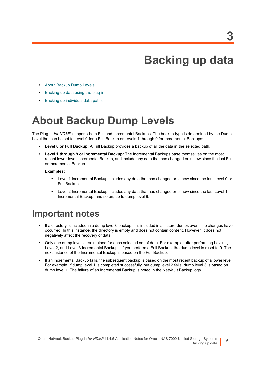## **Backing up data**

- <span id="page-5-0"></span>**•** [About Backup Dump Levels](#page-5-1)
- **•** [Backing up data using the plug-in](#page-6-0)
- **•** [Backing up individual data paths](#page-8-0)

## <span id="page-5-1"></span>**About Backup Dump Levels**

The Plug-in *for NDMP* supports both Full and Incremental Backups. The backup type is determined by the Dump Level that can be set to Level 0 for a Full Backup or Levels 1 through 9 for Incremental Backups:

- **Level 0 or Full Backup:** A Full Backup provides a backup of all the data in the selected path.
- **Level 1 through 9 or Incremental Backup:** The Incremental Backups base themselves on the most recent lower-level Incremental Backup, and include any data that has changed or is new since the last Full or Incremental Backup.

#### **Examples:**

- **▪** Level 1 Incremental Backup includes any data that has changed or is new since the last Level 0 or Full Backup.
- **▪** Level 2 Incremental Backup includes any data that has changed or is new since the last Level 1 Incremental Backup, and so on, up to dump level 9.

### <span id="page-5-2"></span>**Important notes**

- **•** If a directory is included in a dump level 0 backup, it is included in all future dumps even if no changes have occurred. In this instance, the directory is empty and does not contain content. However, it does not negatively affect the recovery of data.
- **•** Only one dump level is maintained for each selected set of data. For example, after performing Level 1, Level 2, and Level 3 Incremental Backups, if you perform a Full Backup, the dump level is reset to 0. The next instance of the Incremental Backup is based on the Full Backup.
- **•** If an Incremental Backup fails, the subsequent backup is based on the most recent backup of a lower level. For example, if dump level 1 is completed successfully, but dump level 2 fails, dump level 3 is based on dump level 1. The failure of an Incremental Backup is noted in the NetVault Backup logs.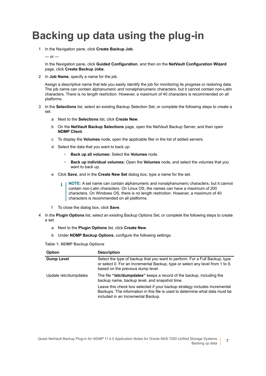## <span id="page-6-0"></span>**Backing up data using the plug-in**

1 In the Navigation pane, click **Create Backup Job**.

#### $-$  or  $-$

In the Navigation pane, click **Guided Configuration**, and then on the **NetVault Configuration Wizard** page, click **Create Backup Jobs**.

2 In **Job Name**, specify a name for the job.

Assign a descriptive name that lets you easily identify the job for monitoring its progress or restoring data. The job name can contain alphanumeric and nonalphanumeric characters, but it cannot contain non-Latin characters. There is no length restriction. However, a maximum of 40 characters is recommended on all platforms.

- 3 In the **Selections** list, select an existing Backup Selection Set, or complete the following steps to create a set.
	- a Next to the **Selections** list, click **Create New**.
	- b On the **NetVault Backup Selections** page, open the NetVault Backup Server, and then open **NDMP Client**.
	- c To display the **Volumes** node, open the applicable filer in the list of added servers.
	- d Select the data that you want to back up:
		- **▫ Back up all volumes:** Select the **Volumes** node.
		- **▫ Back up individual volumes:** Open the **Volumes** node, and select the volumes that you want to back up.
	- e Click **Save**, and in the **Create New Set** dialog box, type a name for the set.
		- **NOTE:** A set name can contain alphanumeric and nonalphanumeric characters, but it cannot ÷ contain non-Latin characters. On Linux OS, the names can have a maximum of 200 characters. On Windows OS, there is no length restriction. However, a maximum of 40 characters is recommended on all platforms.
	- f To close the dialog box, click **Save**.
- 4 In the **Plugin Options** list, select an existing Backup Options Set, or complete the following steps to create a set.
	- a Next to the **Plugin Options** list, click **Create New**.
	- b Under **NDMP Backup Options**, configure the following settings.

<span id="page-6-1"></span>**Table 1. NDMP Backup Options**

| <b>Option</b>         | <b>Description</b>                                                                                                                                                                                |
|-----------------------|---------------------------------------------------------------------------------------------------------------------------------------------------------------------------------------------------|
| <b>Dump Level</b>     | Select the type of backup that you want to perform. For a Full Backup, type<br>or select 0. For an Incremental Backup, type or select any level from 1 to 9,<br>based on the previous dump level. |
| Update /etc/dumpdates | The file "/ <b>etc/dumpdates</b> " keeps a record of the backup, including the<br>backup name, backup level, and snapshot time.                                                                   |
|                       | Leave this check box selected if your backup strategy includes Incremental<br>Backups. The information in this file is used to determine what data must be<br>included in an Incremental Backup.  |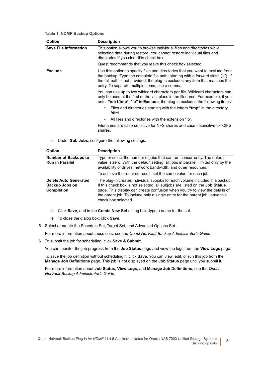|  |  |  | Table 1. NDMP Backup Options |
|--|--|--|------------------------------|
|--|--|--|------------------------------|

| <b>Option</b>                | <b>Description</b>                                                                                                                                                                                                                                                                                     |
|------------------------------|--------------------------------------------------------------------------------------------------------------------------------------------------------------------------------------------------------------------------------------------------------------------------------------------------------|
| <b>Save File Information</b> | This option allows you to browse individual files and directories while<br>selecting data during restore. You cannot restore individual files and<br>directories if you clear this check box.                                                                                                          |
|                              | Quest recommends that you leave this check box selected.                                                                                                                                                                                                                                               |
| Exclude                      | Use this option to specify files and directories that you want to exclude from<br>the backup. Type the complete file path, starting with a forward slash ("/"). If<br>the full path is not provided, the plug-in excludes any item that matches the<br>entry. To separate multiple items, use a comma. |
|                              | You can use up to two wildcard characters per file. Wildcard characters can<br>only be used at the first or the last place in the filename. For example, if you<br>enter "/dir1/tmp*, *.o" in Exclude, the plug-in excludes the following items:                                                       |
|                              | Files and directories starting with the letters "tmp" in the directory<br>$\bullet$<br>/dir1.                                                                                                                                                                                                          |
|                              | All files and directories with the extension ".o".<br>$\bullet$                                                                                                                                                                                                                                        |
|                              | Filenames are case-sensitive for NFS shares and case-insensitive for CIFS<br>shares.                                                                                                                                                                                                                   |

c Under **Sub Jobs**, configure the following settings.

| <b>Option</b>                                                       | <b>Description</b>                                                                                                                                                                                                                                                                                                                                 |
|---------------------------------------------------------------------|----------------------------------------------------------------------------------------------------------------------------------------------------------------------------------------------------------------------------------------------------------------------------------------------------------------------------------------------------|
| <b>Number of Backups to</b><br><b>Run in Parallel</b>               | Type or select the number of jobs that can run concurrently. The default<br>value is zero. With the default setting, all jobs in parallel, limited only by the<br>availability of drives, network bandwidth, and other resources.                                                                                                                  |
|                                                                     | To achieve the required result, set the same value for each job.                                                                                                                                                                                                                                                                                   |
| <b>Delete Auto Generated</b><br>Backup Jobs on<br><b>Completion</b> | The plug-in creates individual subjobs for each volume included in a backup.<br>If this check box is not selected, all subjobs are listed on the Job Status<br>page. This display can create confusion when you try to view the details of<br>the parent job. To include only a single entry for the parent job, leave this<br>check box selected. |

- d Click **Save**, and in the **Create New Set** dialog box, type a name for the set.
- e To close the dialog box, click **Save**.
- <span id="page-7-0"></span>5 Select or create the Schedule Set, Target Set, and Advanced Options Set.

For more information about these sets, see the *Quest NetVault Backup Administrator's Guide*.

<span id="page-7-1"></span>6 To submit the job for scheduling, click **Save & Submit**.

You can monitor the job progress from the **Job Status** page and view the logs from the **View Logs** page.

To save the job definition without scheduling it, click **Save**. You can view, edit, or run this job from the **Manage Job Definitions** page. This job is not displayed on the **Job Status** page until you submit it.

For more information about **Job Status**, **View Logs**, and **Manage Job Definitions**, see the *Quest NetVault Backup Administrator's Guide*.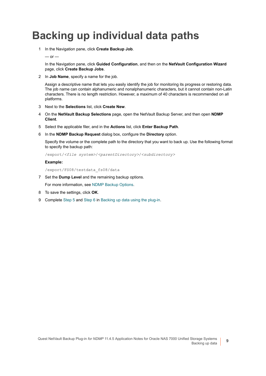## <span id="page-8-0"></span>**Backing up individual data paths**

1 In the Navigation pane, click **Create Backup Job**.

 $-$  or  $-$ 

In the Navigation pane, click **Guided Configuration**, and then on the **NetVault Configuration Wizard** page, click **Create Backup Jobs**.

2 In **Job Name**, specify a name for the job.

Assign a descriptive name that lets you easily identify the job for monitoring its progress or restoring data. The job name can contain alphanumeric and nonalphanumeric characters, but it cannot contain non-Latin characters. There is no length restriction. However, a maximum of 40 characters is recommended on all platforms.

- 3 Next to the **Selections** list, click **Create New**.
- 4 On the **NetVault Backup Selections** page, open the NetVault Backup Server, and then open **NDMP Client**.
- 5 Select the applicable filer, and in the **Actions** list, click **Enter Backup Path**.
- 6 In the **NDMP Backup Request** dialog box, configure the **Directory** option.

Specify the volume or the complete path to the directory that you want to back up. Use the following format to specify the backup path:

/export/*<file system>*/*<parentDirectory>*/*<subdirectory>*

#### **Example:**

/export/FS08/testdata\_fs08/data

7 Set the **Dump Level** and the remaining backup options.

For more information, see [NDMP Backup Options](#page-6-1).

- 8 To save the settings, click **OK**.
- 9 Complete [Step 5](#page-7-0) and [Step 6](#page-7-1) in [Backing up data using the plug-in.](#page-6-0)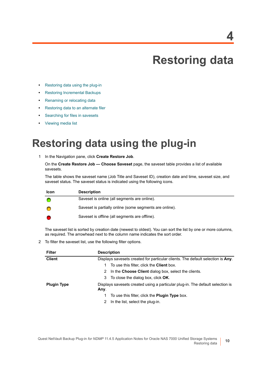## **Restoring data**

- <span id="page-9-0"></span>**•** [Restoring data using the plug-in](#page-9-1)
- **•** [Restoring Incremental Backups](#page-11-0)
- **•** [Renaming or relocating data](#page-12-0)
- **•** [Restoring data to an alternate filer](#page-12-1)
- **•** [Searching for files in savesets](#page-13-0)
- **•** [Viewing media list](#page-13-1)

### <span id="page-9-1"></span>**Restoring data using the plug-in**

<span id="page-9-2"></span>1 In the Navigation pane, click **Create Restore Job**.

On the **Create Restore Job — Choose Saveset** page, the saveset table provides a list of available savesets.

The table shows the saveset name (Job Title and Saveset ID), creation date and time, saveset size, and saveset status. The saveset status is indicated using the following icons.

| <b>Icon</b> | <b>Description</b>                                      |
|-------------|---------------------------------------------------------|
|             | Saveset is online (all segments are online).            |
|             | Saveset is partially online (some segments are online). |
|             | Saveset is offline (all segments are offline).          |

The saveset list is sorted by creation date (newest to oldest). You can sort the list by one or more columns, as required. The arrowhead next to the column name indicates the sort order.

2 To filter the saveset list, use the following filter options.

| <b>Filter</b>      | <b>Description</b>                                                              |
|--------------------|---------------------------------------------------------------------------------|
| <b>Client</b>      | Displays savesets created for particular clients. The default selection is Any. |
|                    | To use this filter, click the <b>Client</b> box.                                |
|                    | 2 In the Choose Client dialog box, select the clients.                          |
|                    | 3 To close the dialog box, click OK.                                            |
| <b>Plugin Type</b> | Displays savesets created using a particular plug-in. The default selection is  |
|                    | Any.                                                                            |
|                    | To use this filter, click the Plugin Type box.<br>1.                            |
|                    | In the list, select the plug-in.<br>2                                           |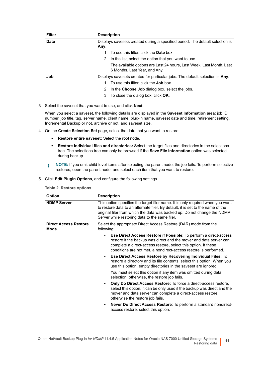| <b>Filter</b> | <b>Description</b>                                                                                    |
|---------------|-------------------------------------------------------------------------------------------------------|
| <b>Date</b>   | Displays savesets created during a specified period. The default selection is<br>Any.                 |
|               | To use this filter, click the <b>Date</b> box.                                                        |
|               | In the list, select the option that you want to use.<br>2                                             |
|               | The available options are Last 24 hours, Last Week, Last Month, Last<br>6 Months, Last Year, and Any. |
| Job           | Displays savesets created for particular jobs. The default selection is Any.                          |
|               | To use this filter, click the <b>Job</b> box.                                                         |
|               | In the Choose Job dialog box, select the jobs.<br>2                                                   |
|               | To close the dialog box, click <b>OK</b> .<br>3                                                       |

3 Select the saveset that you want to use, and click **Next**.

When you select a saveset, the following details are displayed in the **Saveset Information** area: job ID number, job title, tag, server name, client name, plug-in name, saveset date and time, retirement setting, Incremental Backup or not, archive or not, and saveset size.

- <span id="page-10-0"></span>4 On the **Create Selection Set** page, select the data that you want to restore:
	- **▪ Restore entire saveset:** Select the root node.
	- **▪ Restore individual files and directories:** Select the target files and directories in the selections tree. The selections tree can only be browsed if the **Save File Information** option was selected during backup.
	- **i** | NOTE: If you omit child-level items after selecting the parent node, the job fails. To perform selective restores, open the parent node, and select each item that you want to restore.
- <span id="page-10-2"></span><span id="page-10-1"></span>5 Click **Edit Plugin Options**, and configure the following settings.

|  |  | <b>Table 2. Restore options</b> |  |
|--|--|---------------------------------|--|
|--|--|---------------------------------|--|

| <b>Option</b>                        | <b>Description</b>                                                                                                                                                                                                                                                                                                                                                                                                                                                                                                                                                                      |  |
|--------------------------------------|-----------------------------------------------------------------------------------------------------------------------------------------------------------------------------------------------------------------------------------------------------------------------------------------------------------------------------------------------------------------------------------------------------------------------------------------------------------------------------------------------------------------------------------------------------------------------------------------|--|
| <b>NDMP Server</b>                   | This option specifies the target filer name. It is only required when you want<br>to restore data to an alternate filer. By default, it is set to the name of the<br>original filer from which the data was backed up. Do not change the NDMP<br>Server while restoring data to the same filer.                                                                                                                                                                                                                                                                                         |  |
| <b>Direct Access Restore</b><br>Mode | Select the appropriate Direct Access Restore (DAR) mode from the<br>following:                                                                                                                                                                                                                                                                                                                                                                                                                                                                                                          |  |
|                                      | Use Direct Access Restore if Possible: To perform a direct-access<br>$\bullet$<br>restore if the backup was direct and the mover and data server can<br>complete a direct-access restore, select this option. If these<br>conditions are not met, a nondirect-access restore is performed.<br>Use Direct Access Restore by Recovering Individual Files: To<br>$\bullet$<br>restore a directory and its file contents, select this option. When you<br>use this option, empty directories in the saveset are ignored.<br>You must select this option if any item was omitted during data |  |
|                                      | selection; otherwise, the restore job fails.                                                                                                                                                                                                                                                                                                                                                                                                                                                                                                                                            |  |
|                                      | <b>Only Do Direct Access Restore:</b> To force a direct-access restore,<br>$\bullet$<br>select this option. It can be only used if the backup was direct and the<br>mover and data server can complete a direct-access restore;<br>otherwise the restore job fails.                                                                                                                                                                                                                                                                                                                     |  |
|                                      | Never Do Direct Access Restore: To perform a standard nondirect-<br>٠<br>access restore, select this option.                                                                                                                                                                                                                                                                                                                                                                                                                                                                            |  |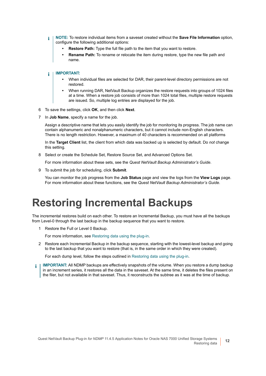- **NOTE:** To restore individual items from a saveset created without the **Save File Information** option, i configure the following additional options:
	- **Restore Path:** Type the full file path to the item that you want to restore.
	- **Rename Path:** To rename or relocate the item during restore, type the new file path and name.

#### **IMPORTANT:**  ÷

- **•** When individual files are selected for DAR, their parent-level directory permissions are not restored.
- **•** When running DAR, NetVault Backup organizes the restore requests into groups of 1024 files at a time. When a restore job consists of more than 1024 total files, multiple restore requests are issued. So, multiple log entries are displayed for the job.
- <span id="page-11-2"></span>6 To save the settings, click **OK**, and then click **Next**.
- 7 In **Job Name**, specify a name for the job.

Assign a descriptive name that lets you easily identify the job for monitoring its progress. The job name can contain alphanumeric and nonalphanumeric characters, but it cannot include non-English characters. There is no length restriction. However, a maximum of 40 characters is recommended on all platforms

In the **Target Client** list, the client from which data was backed up is selected by default. Do *not* change this setting.

8 Select or create the Schedule Set, Restore Source Set, and Advanced Options Set.

For more information about these sets, see the *Quest NetVault Backup Administrator's Guide*.

<span id="page-11-1"></span>9 To submit the job for scheduling, click **Submit**.

You can monitor the job progress from the **Job Status** page and view the logs from the **View Logs** page. For more information about these functions, see the *Quest NetVault Backup Administrator's Guide*.

### <span id="page-11-0"></span>**Restoring Incremental Backups**

The incremental restores build on each other. To restore an Incremental Backup, you must have all the backups from Level-0 through the last backup in the backup sequence that you want to restore.

1 Restore the Full or Level 0 Backup.

For more information, see [Restoring data using the plug-in](#page-9-1).

2 Restore each Incremental Backup in the backup sequence, starting with the lowest-level backup and going to the last backup that you want to restore (that is, in the same order in which they were created).

For each dump level, follow the steps outlined in [Restoring data using the plug-in.](#page-9-1)

**IMPORTANT:** All NDMP backups are effectively snapshots of the volume. When you restore a dump backup in an increment series, it restores all the data in the saveset. At the same time, it deletes the files present on the filer, but not available in that saveset. Thus, it reconstructs the subtree as it was at the time of backup.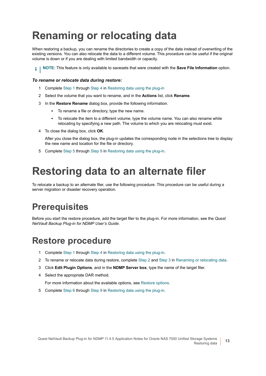## <span id="page-12-0"></span>**Renaming or relocating data**

When restoring a backup, you can rename the directories to create a copy of the data instead of overwriting of the existing versions. You can also relocate the data to a different volume. This procedure can be useful if the original volume is down or if you are dealing with limited bandwidth or capacity.

**i** | NOTE: This feature is only available to savesets that were created with the **Save File Information** option.

#### *To rename or relocate data during restore:*

- 1 Complete [Step 1](#page-9-2) through [Step 4](#page-10-0) in [Restoring data using the plug-in](#page-9-1)
- <span id="page-12-4"></span>2 Select the volume that you want to rename, and in the **Actions** list, click **Rename**.
- <span id="page-12-5"></span>3 In the **Restore Rename** dialog box, provide the following information.
	- **▪** To rename a file or directory, type the new name.
	- **▪** To relocate the item to a different volume, type the volume name. You can also rename while relocating by specifying a new path. The volume to which you are relocating must exist.
- 4 To close the dialog box, click **OK**.

After you close the dialog box, the plug-in updates the corresponding node in the selections tree to display the new name and location for the file or directory.

5 Complete [Step 5](#page-10-1) through [Step 9](#page-11-1) in [Restoring data using the plug-in](#page-9-1).

### <span id="page-12-1"></span>**Restoring data to an alternate filer**

To relocate a backup to an alternate filer, use the following procedure. This procedure can be useful during a server migration or disaster recovery operation.

### <span id="page-12-2"></span>**Prerequisites**

Before you start the restore procedure, add the target filer to the plug-in. For more information, see the *Quest NetVault Backup Plug-in for NDMP User's Guide*.

### <span id="page-12-3"></span>**Restore procedure**

- 1 Complete [Step 1](#page-9-2) through [Step 4](#page-10-0) in [Restoring data using the plug-in](#page-9-1).
- 2 To rename or relocate data during restore, complete [Step 2](#page-12-4) and [Step 3](#page-12-5) in [Renaming or relocating data.](#page-12-0)
- 3 Click **Edit Plugin Options**, and in the **NDMP Server box**, type the name of the target filer.
- 4 Select the appropriate DAR method.

For more information about the available options, see [Restore options](#page-10-2).

5 Complete [Step 6](#page-11-2) through [Step 9](#page-11-1) in [Restoring data using the plug-in](#page-9-1).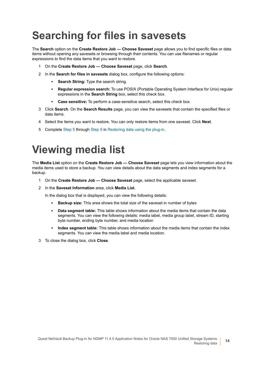# <span id="page-13-0"></span>**Searching for files in savesets**

The **Search** option on the **Create Restore Job — Choose Saveset** page allows you to find specific files or data items without opening any savesets or browsing through their contents. You can use filenames or regular expressions to find the data items that you want to restore.

- 1 On the **Create Restore Job Choose Saveset** page, click **Search**.
- 2 In the **Search for files in savesets** dialog box, configure the following options:
	- **Search String:** Type the search string.
	- **▪ Regular expression search:** To use POSIX (Portable Operating System Interface for Unix) regular expressions in the **Search String** box, select this check box.
	- **▪ Case sensitive:** To perform a case-sensitive search, select this check box.
- 3 Click **Search**. On the **Search Results** page, you can view the savesets that contain the specified files or data items.
- 4 Select the items you want to restore. You can only restore items from one saveset. Click **Next**.
- 5 Complete [Step 5](#page-10-1) through [Step 9](#page-11-1) in [Restoring data using the plug-in](#page-9-1).

## <span id="page-13-1"></span>**Viewing media list**

The **Media List** option on the **Create Restore Job — Choose Saveset** page lets you view information about the media items used to store a backup. You can view details about the data segments and index segments for a backup.

- 1 On the **Create Restore Job Choose Saveset** page, select the applicable saveset.
- 2 In the **Saveset Information** area, click **Media List**.

In the dialog box that is displayed, you can view the following details:

- **▪ Backup size:** This area shows the total size of the saveset in number of bytes
- **Data segment table:** This table shows information about the media items that contain the data segments. You can view the following details: media label, media group label, stream ID, starting byte number, ending byte number, and media location
- **Index segment table:** This table shows information about the media items that contain the index segments. You can view the media label and media location.
- 3 To close the dialog box, click **Close**.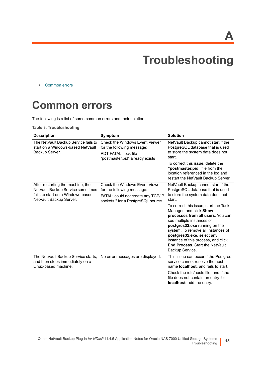**A**

# **Troubleshooting**

<span id="page-14-0"></span>**•** [Common errors](#page-14-1)

### <span id="page-14-1"></span>**Common errors**

The following is a list of some common errors and their solution.

**Table 3. Troubleshooting**

| <b>Description</b>                                                                                                                     | Symptom                                                                                                                                        | <b>Solution</b>                                                                                                                                                                                                                                                                                                                                                                                                                                                       |
|----------------------------------------------------------------------------------------------------------------------------------------|------------------------------------------------------------------------------------------------------------------------------------------------|-----------------------------------------------------------------------------------------------------------------------------------------------------------------------------------------------------------------------------------------------------------------------------------------------------------------------------------------------------------------------------------------------------------------------------------------------------------------------|
| The NetVault Backup Service fails to<br>start on a Windows-based NetVault<br>Backup Server.                                            | <b>Check the Windows Event Viewer</b><br>for the following message:<br>PDT FATAL: lock file<br>"postmaster.pid" already exists                 | NetVault Backup cannot start if the<br>PostgreSQL database that is used<br>to store the system data does not<br>start.<br>To correct this issue, delete the<br>"postmaster.pid" file from the<br>location referenced in the log and<br>restart the NetVault Backup Server.                                                                                                                                                                                            |
| After restarting the machine, the<br>NetVault Backup Service sometimes<br>fails to start on a Windows-based<br>NetVault Backup Server. | <b>Check the Windows Event Viewer</b><br>for the following message:<br>FATAL: could not create any TCP/IP<br>sockets " for a PostgreSQL source | NetVault Backup cannot start if the<br>PostgreSQL database that is used<br>to store the system data does not<br>start.<br>To correct this issue, start the Task<br>Manager, and click Show<br>processes from all users. You can<br>see multiple instances of<br>postgres32.exe running on the<br>system. To remove all instances of<br>postgres32.exe, select any<br>instance of this process, and click<br><b>End Process. Start the NetVault</b><br>Backup Service. |
| The NetVault Backup Service starts,<br>and then stops immediately on a<br>Linux-based machine.                                         | No error messages are displayed.                                                                                                               | This issue can occur if the Postgres<br>service cannot resolve the host<br>name <b>localhost</b> , and fails to start.<br>Check the /etc/hosts file, and if the<br>file does not contain an entry for<br>localhost, add the entry.                                                                                                                                                                                                                                    |